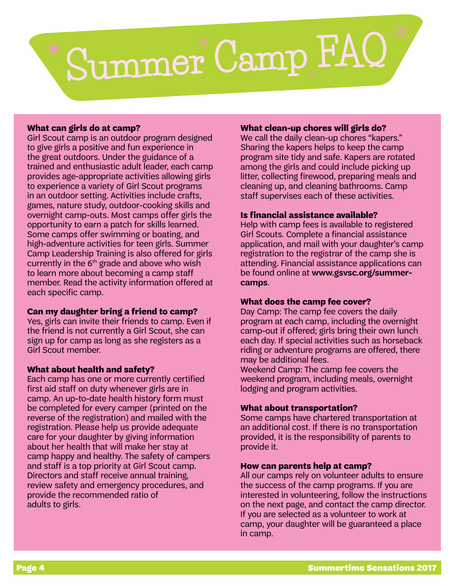# Summer Camp FAQ

# **What can girls do at camp?**

Girl Scout camp is an outdoor program designed to give girls a positive and fun experience in the great outdoors. Under the guidance of a trained and enthusiastic adult leader, each camp provides age-appropriate activities allowing girls to experience a variety of Girl Scout programs in an outdoor setting. Activities include crafts, games, nature study, outdoor-cooking skills and overnight camp-outs. Most camps offer girls the opportunity to earn a patch for skills learned. Some camps offer swimming or boating, and high-adventure activities for teen girls. Summer Camp Leadership Training is also offered for girls currently in the  $6<sup>th</sup>$  grade and above who wish to learn more about becoming a camp staff member. Read the activity information offered at each specific camp.

# **Can my daughter bring a friend to camp?**

Yes, girls can invite their friends to camp. Even if the friend is not currently a Girl Scout, she can sign up for camp as long as she registers as a Girl Scout member.

# **What about health and safety?**

Each camp has one or more currently certified first aid staff on duty whenever girls are in camp. An up-to-date health history form must be completed for every camper (printed on the reverse of the registration) and mailed with the registration. Please help us provide adequate care for your daughter by giving information about her health that will make her stay at camp happy and healthy. The safety of campers and staff is a top priority at Girl Scout camp. Directors and staff receive annual training, review safety and emergency procedures, and provide the recommended ratio of adults to girls.

#### **What clean-up chores will girls do?**

We call the daily clean-up chores "kapers." Sharing the kapers helps to keep the camp program site tidy and safe. Kapers are rotated among the girls and could include picking up litter, collecting firewood, preparing meals and cleaning up, and cleaning bathrooms. Camp staff supervises each of these activities.

#### **Is financial assistance available?**

Help with camp fees is available to registered Girl Scouts. Complete a financial assistance application, and mail with your daughter's camp registration to the registrar of the camp she is attending. Financial assistance applications can be found online at **[www.gsvsc.org/summer](http://www.gsvsc.org/en/camp/summer-camps.html)[camps](http://www.gsvsc.org/en/camp/summer-camps.html)**.

# **What does the camp fee cover?**

Day Camp: The camp fee covers the daily program at each camp, including the overnight camp-out if offered; girls bring their own lunch each day. If special activities such as horseback riding or adventure programs are offered, there may be additional fees.

Weekend Camp: The camp fee covers the weekend program, including meals, overnight lodging and program activities.

# **What about transportation?**

Some camps have chartered transportation at an additional cost. If there is no transportation provided, it is the responsibility of parents to provide it.

#### **How can parents help at camp?**

All our camps rely on volunteer adults to ensure the success of the camp programs. If you are interested in volunteering, follow the instructions on the next page, and contact the camp director. If you are selected as a volunteer to work at camp, your daughter will be guaranteed a place in camp.